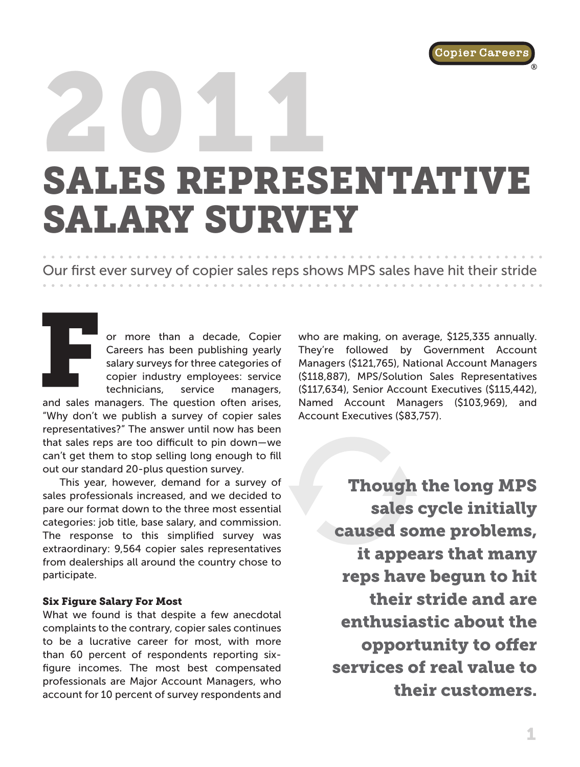## 2011 SALES REPRESENTATIVE SALARY SURVEY ®

Our first ever survey of copier sales reps shows MPS sales have hit their stride

or more than a decade, Copier Careers has been publishing yearly salary surveys for three categories of copier industry employees: service technicians, service managers,

and sales managers. The question often arises, "Why don't we publish a survey of copier sales representatives?" The answer until now has been that sales reps are too difficult to pin down—we can't get them to stop selling long enough to fill out our standard 20-plus question survey.

This year, however, demand for a survey of sales professionals increased, and we decided to pare our format down to the three most essential categories: job title, base salary, and commission. The response to this simplified survey was extraordinary: 9,564 copier sales representatives from dealerships all around the country chose to participate.

#### Six Figure Salary For Most

What we found is that despite a few anecdotal complaints to the contrary, copier sales continues to be a lucrative career for most, with more than 60 percent of respondents reporting sixfigure incomes. The most best compensated professionals are Major Account Managers, who account for 10 percent of survey respondents and

who are making, on average, \$125,335 annually. They're followed by Government Account Managers (\$121,765), National Account Managers (\$118,887), MPS/Solution Sales Representatives (\$117,634), Senior Account Executives (\$115,442), Named Account Managers (\$103,969), and Account Executives (\$83,757).

> Though the long MPS sales cycle initially caused some problems, it appears that many reps have begun to hit their stride and are enthusiastic about the opportunity to offer services of real value to their customers.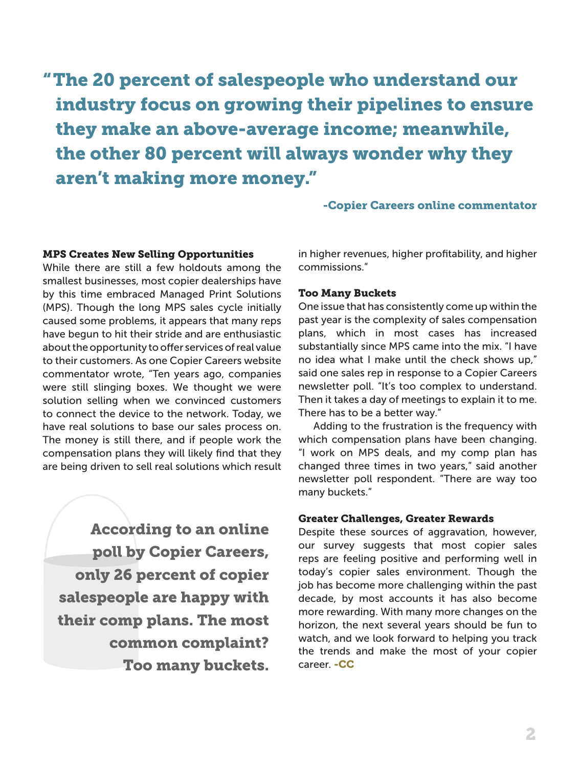"The 20 percent of salespeople who understand our industry focus on growing their pipelines to ensure they make an above-average income; meanwhile, the other 80 percent will always wonder why they aren't making more money."

-Copier Careers online commentator

#### MPS Creates New Selling Opportunities

While there are still a few holdouts among the smallest businesses, most copier dealerships have by this time embraced Managed Print Solutions (MPS). Though the long MPS sales cycle initially caused some problems, it appears that many reps have begun to hit their stride and are enthusiastic about the opportunity to offer services of real value to their customers. As one Copier Careers website commentator wrote, "Ten years ago, companies were still slinging boxes. We thought we were solution selling when we convinced customers to connect the device to the network. Today, we have real solutions to base our sales process on. The money is still there, and if people work the compensation plans they will likely find that they are being driven to sell real solutions which result

According to an online poll by Copier Careers, only 26 percent of copier salespeople are happy with their comp plans. The most common complaint? Too many buckets.

in higher revenues, higher profitability, and higher commissions."

#### Too Many Buckets

One issue that has consistently come up within the past year is the complexity of sales compensation plans, which in most cases has increased substantially since MPS came into the mix. "I have no idea what I make until the check shows up," said one sales rep in response to a Copier Careers newsletter poll. "It's too complex to understand. Then it takes a day of meetings to explain it to me. There has to be a better way."

Adding to the frustration is the frequency with which compensation plans have been changing. "I work on MPS deals, and my comp plan has changed three times in two years," said another newsletter poll respondent. "There are way too many buckets."

#### Greater Challenges, Greater Rewards

Despite these sources of aggravation, however, our survey suggests that most copier sales reps are feeling positive and performing well in today's copier sales environment. Though the job has become more challenging within the past decade, by most accounts it has also become more rewarding. With many more changes on the horizon, the next several years should be fun to watch, and we look forward to helping you track the trends and make the most of your copier career. -CC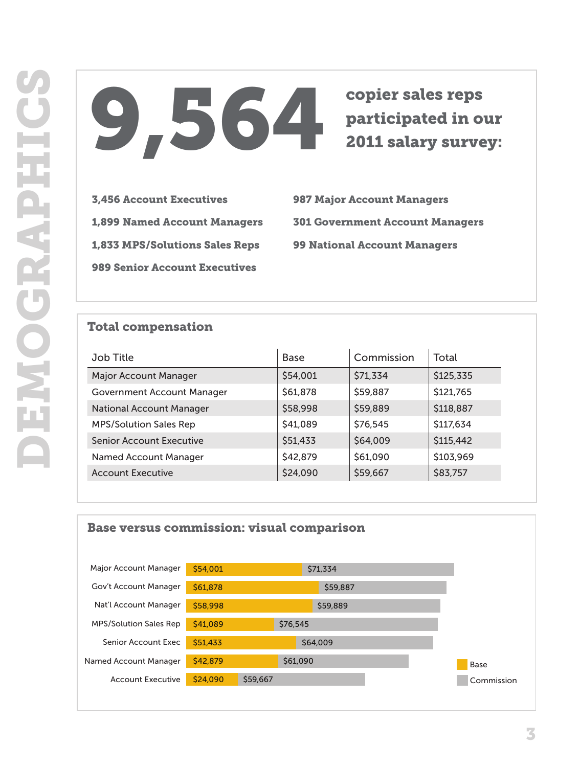# participated in our 2011 salary survey:

#### Total compensation

| 9.564                                                    |                                                                               | copier sales reps<br>participated in our<br><b>2011 salary survey:</b> |                                                               |
|----------------------------------------------------------|-------------------------------------------------------------------------------|------------------------------------------------------------------------|---------------------------------------------------------------|
| <b>3,456 Account Executives</b>                          | <b>987 Major Account Managers</b>                                             |                                                                        |                                                               |
| <b>1,899 Named Account Managers</b>                      | <b>301 Government Account Managers</b><br><b>99 National Account Managers</b> |                                                                        |                                                               |
| <b>1,833 MPS/Solutions Sales Reps</b>                    |                                                                               |                                                                        |                                                               |
|                                                          |                                                                               |                                                                        |                                                               |
| <b>989 Senior Account Executives</b>                     |                                                                               |                                                                        |                                                               |
| <b>Total compensation</b><br><b>Job Title</b>            | <b>Base</b>                                                                   | Commission                                                             | Total                                                         |
| Major Account Manager                                    | \$54,001                                                                      | \$71,334                                                               |                                                               |
| <b>Government Account Manager</b>                        | \$61,878                                                                      | \$59,887                                                               |                                                               |
| <b>National Account Manager</b>                          | \$58,998                                                                      | \$59,889                                                               |                                                               |
| <b>MPS/Solution Sales Rep</b>                            | \$41,089                                                                      | \$76,545                                                               |                                                               |
| <b>Senior Account Executive</b>                          | \$51,433                                                                      | \$64,009                                                               | \$125,335<br>\$121,765<br>\$118,887<br>\$117,634<br>\$115,442 |
| <b>Named Account Manager</b><br><b>Account Executive</b> | \$42,879<br>\$24,090                                                          | \$61,090                                                               | \$103,969<br>\$83,757                                         |